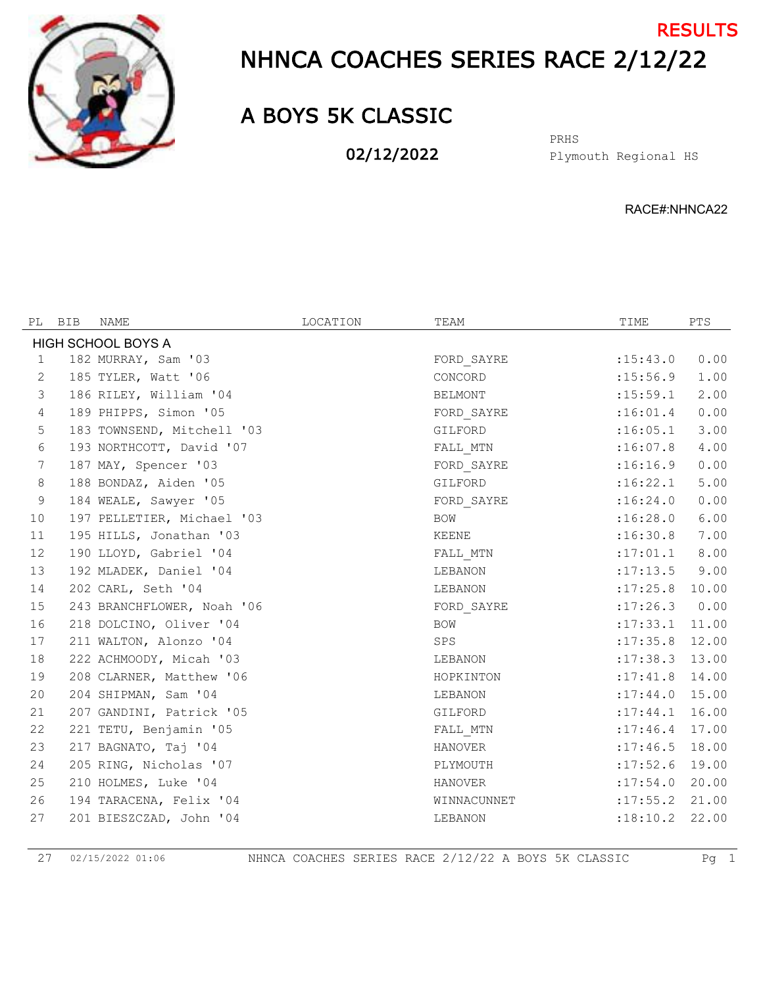

## NHNCA COACHES SERIES RACE 2/12/22 **RESULTS**

## A BOYS 5K CLASSIC

02/12/2022

Plymouth Regional HS PRHS

RACE#:NHNCA22

| BIB | NAME | LOCATION                                                                                                                                                                                                                                                                                                                                                                                                                                                                                                                                                                                                                                                                                                                                           | TEAM           | TIME               | PTS   |
|-----|------|----------------------------------------------------------------------------------------------------------------------------------------------------------------------------------------------------------------------------------------------------------------------------------------------------------------------------------------------------------------------------------------------------------------------------------------------------------------------------------------------------------------------------------------------------------------------------------------------------------------------------------------------------------------------------------------------------------------------------------------------------|----------------|--------------------|-------|
|     |      |                                                                                                                                                                                                                                                                                                                                                                                                                                                                                                                                                                                                                                                                                                                                                    |                |                    |       |
|     |      |                                                                                                                                                                                                                                                                                                                                                                                                                                                                                                                                                                                                                                                                                                                                                    | FORD SAYRE     | : 15: 43.0         | 0.00  |
|     |      |                                                                                                                                                                                                                                                                                                                                                                                                                                                                                                                                                                                                                                                                                                                                                    | CONCORD        | :15:56.9           | 1.00  |
|     |      |                                                                                                                                                                                                                                                                                                                                                                                                                                                                                                                                                                                                                                                                                                                                                    | BELMONT        | : 15:59.1          | 2.00  |
|     |      |                                                                                                                                                                                                                                                                                                                                                                                                                                                                                                                                                                                                                                                                                                                                                    | FORD SAYRE     | :16:01.4           | 0.00  |
|     |      |                                                                                                                                                                                                                                                                                                                                                                                                                                                                                                                                                                                                                                                                                                                                                    | GILFORD        | :16:05.1           | 3.00  |
|     |      |                                                                                                                                                                                                                                                                                                                                                                                                                                                                                                                                                                                                                                                                                                                                                    | FALL MTN       | :16:07.8           | 4.00  |
|     |      |                                                                                                                                                                                                                                                                                                                                                                                                                                                                                                                                                                                                                                                                                                                                                    | FORD SAYRE     | :16:16.9           | 0.00  |
|     |      |                                                                                                                                                                                                                                                                                                                                                                                                                                                                                                                                                                                                                                                                                                                                                    | GILFORD        | :16:22.1           | 5.00  |
|     |      |                                                                                                                                                                                                                                                                                                                                                                                                                                                                                                                                                                                                                                                                                                                                                    | FORD SAYRE     | :16:24.0           | 0.00  |
|     |      |                                                                                                                                                                                                                                                                                                                                                                                                                                                                                                                                                                                                                                                                                                                                                    | BOW            | :16:28.0           | 6.00  |
|     |      |                                                                                                                                                                                                                                                                                                                                                                                                                                                                                                                                                                                                                                                                                                                                                    | KEENE          | :16:30.8           | 7.00  |
|     |      |                                                                                                                                                                                                                                                                                                                                                                                                                                                                                                                                                                                                                                                                                                                                                    | FALL MTN       | :17:01.1           | 8.00  |
|     |      |                                                                                                                                                                                                                                                                                                                                                                                                                                                                                                                                                                                                                                                                                                                                                    | LEBANON        | :17:13.5           | 9.00  |
|     |      |                                                                                                                                                                                                                                                                                                                                                                                                                                                                                                                                                                                                                                                                                                                                                    | LEBANON        | $:17:25.8$ 10.00   |       |
|     |      |                                                                                                                                                                                                                                                                                                                                                                                                                                                                                                                                                                                                                                                                                                                                                    | FORD SAYRE     | $: 17:26.3$ 0.00   |       |
|     |      |                                                                                                                                                                                                                                                                                                                                                                                                                                                                                                                                                                                                                                                                                                                                                    | BOW            | $: 17: 33.1$ 11.00 |       |
|     |      |                                                                                                                                                                                                                                                                                                                                                                                                                                                                                                                                                                                                                                                                                                                                                    | SPS            | $: 17:35.8$ 12.00  |       |
|     |      |                                                                                                                                                                                                                                                                                                                                                                                                                                                                                                                                                                                                                                                                                                                                                    | LEBANON        | $: 17:38.3$ 13.00  |       |
|     |      |                                                                                                                                                                                                                                                                                                                                                                                                                                                                                                                                                                                                                                                                                                                                                    | HOPKINTON      | $: 17:41.8$ 14.00  |       |
|     |      |                                                                                                                                                                                                                                                                                                                                                                                                                                                                                                                                                                                                                                                                                                                                                    | LEBANON        | : 17:44.0 15.00    |       |
|     |      |                                                                                                                                                                                                                                                                                                                                                                                                                                                                                                                                                                                                                                                                                                                                                    | GILFORD        | : 17:44.1          | 16.00 |
|     |      |                                                                                                                                                                                                                                                                                                                                                                                                                                                                                                                                                                                                                                                                                                                                                    | FALL MTN       | $: 17:46.4$ 17.00  |       |
|     |      |                                                                                                                                                                                                                                                                                                                                                                                                                                                                                                                                                                                                                                                                                                                                                    | HANOVER        | $: 17:46.5$ 18.00  |       |
|     |      |                                                                                                                                                                                                                                                                                                                                                                                                                                                                                                                                                                                                                                                                                                                                                    | PLYMOUTH       | $:17:52.6$ 19.00   |       |
|     |      |                                                                                                                                                                                                                                                                                                                                                                                                                                                                                                                                                                                                                                                                                                                                                    | <b>HANOVER</b> | : 17:54.0          | 20.00 |
|     |      |                                                                                                                                                                                                                                                                                                                                                                                                                                                                                                                                                                                                                                                                                                                                                    | WINNACUNNET    | : 17: 55.2         | 21.00 |
|     |      |                                                                                                                                                                                                                                                                                                                                                                                                                                                                                                                                                                                                                                                                                                                                                    | LEBANON        | :18:10.2           | 22.00 |
|     |      | HIGH SCHOOL BOYS A<br>182 MURRAY, Sam '03<br>185 TYLER, Watt '06<br>186 RILEY, William '04<br>189 PHIPPS, Simon '05<br>183 TOWNSEND, Mitchell '03<br>193 NORTHCOTT, David '07<br>187 MAY, Spencer '03<br>188 BONDAZ, Aiden '05<br>184 WEALE, Sawyer '05<br>197 PELLETIER, Michael '03<br>195 HILLS, Jonathan '03<br>190 LLOYD, Gabriel '04<br>192 MLADEK, Daniel '04<br>202 CARL, Seth '04<br>243 BRANCHFLOWER, Noah '06<br>218 DOLCINO, Oliver '04<br>211 WALTON, Alonzo '04<br>222 ACHMOODY, Micah '03<br>208 CLARNER, Matthew '06<br>204 SHIPMAN, Sam '04<br>207 GANDINI, Patrick '05<br>221 TETU, Benjamin '05<br>217 BAGNATO, Taj '04<br>205 RING, Nicholas '07<br>210 HOLMES, Luke '04<br>194 TARACENA, Felix '04<br>201 BIESZCZAD, John '04 |                |                    |       |

02/15/2022 01:06 NHNCA COACHES SERIES RACE 2/12/22 A BOYS 5K CLASSIC Pg 1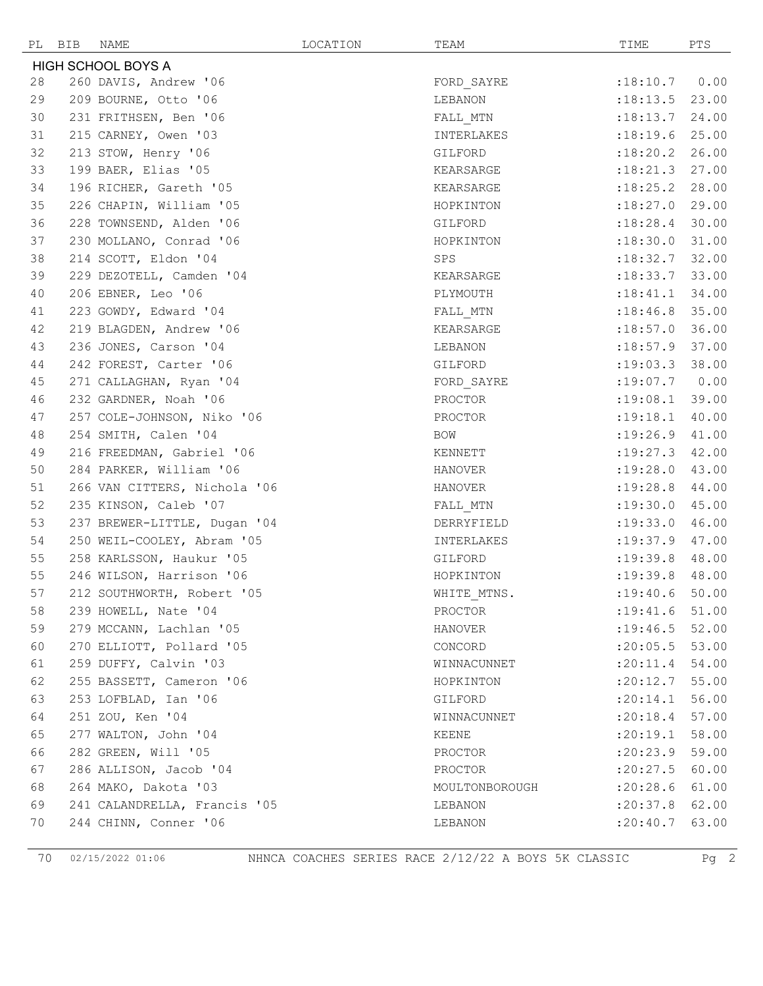|    | PL BIB | NAME                         | LOCATION | TEAM           | TIME               | PTS   |
|----|--------|------------------------------|----------|----------------|--------------------|-------|
|    |        | <b>HIGH SCHOOL BOYS A</b>    |          |                |                    |       |
| 28 |        | 260 DAVIS, Andrew '06        |          | FORD SAYRE     | :18:10.7           | 0.00  |
| 29 |        | 209 BOURNE, Otto '06         |          | LEBANON        | :18:13.5           | 23.00 |
| 30 |        | 231 FRITHSEN, Ben '06        |          | FALL MTN       | :18:13.7           | 24.00 |
| 31 |        | 215 CARNEY, Owen '03         |          | INTERLAKES     | :18:19.6           | 25.00 |
| 32 |        | 213 STOW, Henry '06          |          | GILFORD        | $:18:20.2$ 26.00   |       |
| 33 |        | 199 BAER, Elias '05          |          | KEARSARGE      | $:18:21.3$ 27.00   |       |
| 34 |        | 196 RICHER, Gareth '05       |          | KEARSARGE      | :18:25.2           | 28.00 |
| 35 |        | 226 CHAPIN, William '05      |          | HOPKINTON      | :18:27.0           | 29.00 |
| 36 |        | 228 TOWNSEND, Alden '06      |          | GILFORD        | :18:28.4           | 30.00 |
| 37 |        | 230 MOLLANO, Conrad '06      |          | HOPKINTON      | :18:30.0           | 31.00 |
| 38 |        | 214 SCOTT, Eldon '04         |          | SPS            | $: 18:32.7$ 32.00  |       |
| 39 |        | 229 DEZOTELL, Camden '04     |          | KEARSARGE      | :18:33.7           | 33.00 |
| 40 |        | 206 EBNER, Leo '06           |          | PLYMOUTH       | :18:41.1           | 34.00 |
| 41 |        | 223 GOWDY, Edward '04        |          | FALL MTN       | $: 18:46.8$ 35.00  |       |
| 42 |        | 219 BLAGDEN, Andrew '06      |          | KEARSARGE      | :18:57.0           | 36.00 |
| 43 |        | 236 JONES, Carson '04        |          | LEBANON        | :18:57.9 37.00     |       |
| 44 |        | 242 FOREST, Carter '06       |          | GILFORD        | $: 19:03.3$ 38.00  |       |
| 45 |        | 271 CALLAGHAN, Ryan '04      |          | FORD SAYRE     | :19:07.7           | 0.00  |
| 46 |        | 232 GARDNER, Noah '06        |          | PROCTOR        | :19:08.1           | 39.00 |
| 47 |        | 257 COLE-JOHNSON, Niko '06   |          | PROCTOR        | :19:18.1           | 40.00 |
| 48 |        | 254 SMITH, Calen '04         |          | BOW            | :19:26.9           | 41.00 |
| 49 |        | 216 FREEDMAN, Gabriel '06    |          | KENNETT        | $:19:27.3$ 42.00   |       |
| 50 |        | 284 PARKER, William '06      |          | HANOVER        | :19:28.0           | 43.00 |
| 51 |        | 266 VAN CITTERS, Nichola '06 |          | <b>HANOVER</b> | :19:28.8           | 44.00 |
| 52 |        | 235 KINSON, Caleb '07        |          | FALL MTN       | :19:30.0           | 45.00 |
| 53 |        | 237 BREWER-LITTLE, Dugan '04 |          | DERRYFIELD     | : 19: 33.0         | 46.00 |
| 54 |        | 250 WEIL-COOLEY, Abram '05   |          | INTERLAKES     | $: 19: 37.9$ 47.00 |       |
| 55 |        | 258 KARLSSON, Haukur '05     |          | GILFORD        | $:19:39.8$ 48.00   |       |
| 55 |        | 246 WILSON, Harrison '06     |          | HOPKINTON      | :19:39.8           | 48.00 |
| 57 |        | 212 SOUTHWORTH, Robert '05   |          | WHITE MTNS.    | $: 19: 40.6$ 50.00 |       |
| 58 |        | 239 HOWELL, Nate '04         |          | PROCTOR        | $: 19: 41.6$ 51.00 |       |
| 59 |        | 279 MCCANN, Lachlan '05      |          | HANOVER        | : 19: 46.5         | 52.00 |
| 60 |        | 270 ELLIOTT, Pollard '05     |          | CONCORD        | : 20:05.5          | 53.00 |
| 61 |        | 259 DUFFY, Calvin '03        |          | WINNACUNNET    | :20:11.4           | 54.00 |
| 62 |        | 255 BASSETT, Cameron '06     |          | HOPKINTON      | :20:12.7           | 55.00 |
| 63 |        | 253 LOFBLAD, Ian '06         |          | GILFORD        | :20:14.1           | 56.00 |
| 64 |        | 251 ZOU, Ken '04             |          | WINNACUNNET    | :20:18.4           | 57.00 |
| 65 |        | 277 WALTON, John '04         |          | KEENE          | :20:19.1           | 58.00 |
| 66 |        | 282 GREEN, Will '05          |          | PROCTOR        | :20:23.9           | 59.00 |
| 67 |        | 286 ALLISON, Jacob '04       |          | PROCTOR        | :20:27.5           | 60.00 |
| 68 |        | 264 MAKO, Dakota '03         |          | MOULTONBOROUGH | :20:28.6           | 61.00 |
| 69 |        | 241 CALANDRELLA, Francis '05 |          | LEBANON        | :20:37.8           | 62.00 |
| 70 |        | 244 CHINN, Conner '06        |          | LEBANON        | : 20: 40.7         | 63.00 |

02/15/2022 01:06 NHNCA COACHES SERIES RACE 2/12/22 A BOYS 5K CLASSIC Pg 2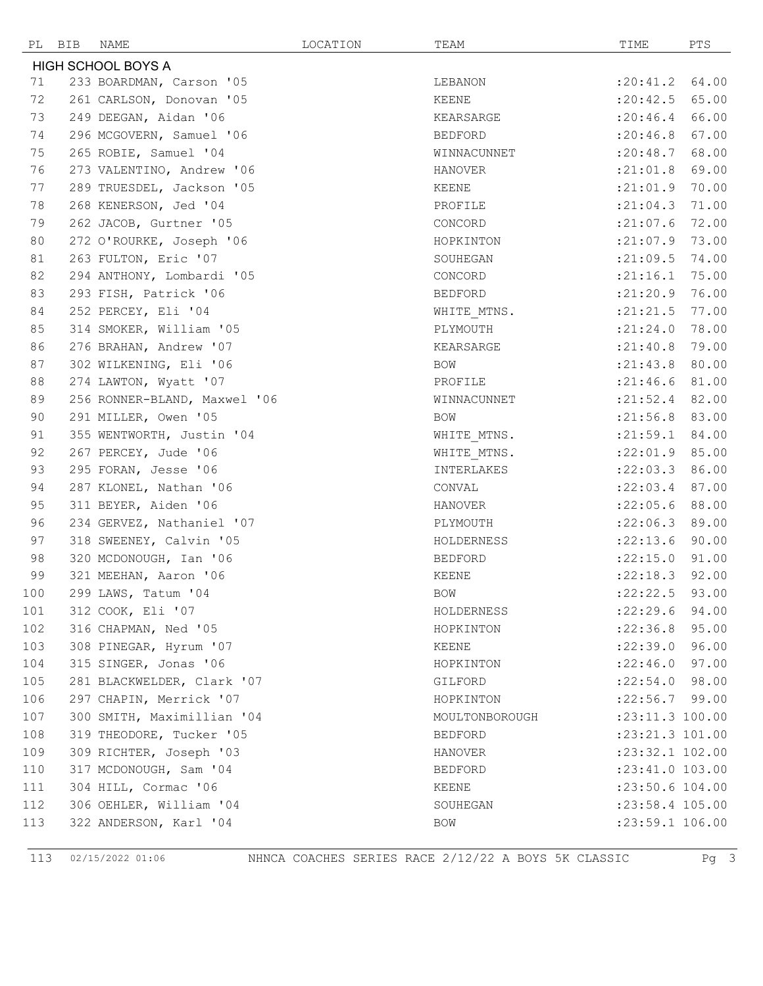|            | PL BIB | NAME                                           | LOCATION | TEAM              | TIME                               | PTS   |
|------------|--------|------------------------------------------------|----------|-------------------|------------------------------------|-------|
|            |        | <b>HIGH SCHOOL BOYS A</b>                      |          |                   |                                    |       |
| 71         |        | 233 BOARDMAN, Carson '05                       |          | LEBANON           | :20:41.2                           | 64.00 |
| 72         |        | 261 CARLSON, Donovan '05                       |          | KEENE             | : 20: 42.5                         | 65.00 |
| 73         |        | 249 DEEGAN, Aidan '06                          |          | KEARSARGE         | : 20:46.4                          | 66.00 |
| 74         |        | 296 MCGOVERN, Samuel '06                       |          | BEDFORD           | :20:46.8                           | 67.00 |
| 75         |        | 265 ROBIE, Samuel '04                          |          | WINNACUNNET       | : 20: 48.7 68.00                   |       |
| 76         |        | 273 VALENTINO, Andrew '06                      |          | HANOVER           | : 21:01.8                          | 69.00 |
| 77         |        | 289 TRUESDEL, Jackson '05                      |          | KEENE             | : 21:01.9                          | 70.00 |
| 78         |        | 268 KENERSON, Jed '04                          |          | PROFILE           | : 21:04.3                          | 71.00 |
| 79         |        | 262 JACOB, Gurtner '05                         |          | CONCORD           | $:21:07.6$ 72.00                   |       |
| 80         |        | 272 O'ROURKE, Joseph '06                       |          | HOPKINTON         | $:21:07.9$ 73.00                   |       |
| 81         |        | 263 FULTON, Eric '07                           |          | SOUHEGAN          | : 21:09.5                          | 74.00 |
| 82         |        | 294 ANTHONY, Lombardi '05                      |          | CONCORD           | : 21:16.1                          | 75.00 |
| 83         |        | 293 FISH, Patrick '06                          |          | BEDFORD           | : 21: 20.9                         | 76.00 |
| 84         |        | 252 PERCEY, Eli '04                            |          | WHITE MTNS.       | : 21: 21.5                         | 77.00 |
| 85         |        | 314 SMOKER, William '05                        |          | PLYMOUTH          | : 21: 24.0                         | 78.00 |
| 86         |        | 276 BRAHAN, Andrew '07                         |          | KEARSARGE         | : 21: 40.8                         | 79.00 |
| 87         |        | 302 WILKENING, Eli '06                         |          | BOW               | $: 21: 43.8$ 80.00                 |       |
| 88         |        | 274 LAWTON, Wyatt '07                          |          | PROFILE           | : 21: 46.6                         | 81.00 |
| 89         |        | 256 RONNER-BLAND, Maxwel '06                   |          | WINNACUNNET       | $: 21:52.4$ 82.00                  |       |
| 90         |        | 291 MILLER, Owen '05                           |          | BOW               | $:21:56.8$ 83.00                   |       |
| 91         |        | 355 WENTWORTH, Justin '04                      |          | WHITE MTNS.       | $: 21:59.1$ 84.00                  |       |
| 92         |        | 267 PERCEY, Jude '06                           |          | WHITE MTNS.       | $:22:01.9$ 85.00                   |       |
| 93         |        | 295 FORAN, Jesse '06                           |          | INTERLAKES        | :22:03.3                           | 86.00 |
| 94         |        | 287 KLONEL, Nathan '06                         |          | CONVAL            | : 22:03.4                          | 87.00 |
| 95         |        | 311 BEYER, Aiden '06                           |          | HANOVER           | :22:05.6                           | 88.00 |
| 96         |        | 234 GERVEZ, Nathaniel '07                      |          | PLYMOUTH          | $:22:06.3$ 89.00                   |       |
| 97         |        | 318 SWEENEY, Calvin '05                        |          | HOLDERNESS        | $:22:13.6$ 90.00                   |       |
| 98         |        | 320 MCDONOUGH, Ian '06                         |          | BEDFORD           | :22:15.0                           | 91.00 |
| 99         |        | 321 MEEHAN, Aaron '06                          |          | KEENE             | :22:18.3                           | 92.00 |
| 100        |        | 299 LAWS, Tatum '04                            |          | BOW               | $:22:22.5$ 93.00                   |       |
| 101        |        | 312 COOK, Eli '07                              |          | HOLDERNESS        | $:22:29.6$ 94.00                   |       |
| 102        |        | 316 CHAPMAN, Ned '05                           |          | HOPKINTON         | $: 22:36.8$ 95.00                  |       |
| 103        |        | 308 PINEGAR, Hyrum '07                         |          | KEENE             | $:22:39.0$ 96.00                   |       |
| 104        |        | 315 SINGER, Jonas '06                          |          | HOPKINTON         | $: 22:46.0$ 97.00                  |       |
| 105        |        | 281 BLACKWELDER, Clark '07                     |          | GILFORD           | : 22:54.0 98.00                    |       |
| 106        |        | 297 CHAPIN, Merrick '07                        |          | HOPKINTON         | $:22:56.7$ 99.00                   |       |
| 107        |        | 300 SMITH, Maximillian '04                     |          | MOULTONBOROUGH    | :23:11.3 100.00                    |       |
| 108        |        | 319 THEODORE, Tucker '05                       |          | BEDFORD           | :23:21.3 101.00                    |       |
| 109        |        | 309 RICHTER, Joseph '03                        |          | HANOVER           | :23:32.1 102.00                    |       |
| 110        |        | 317 MCDONOUGH, Sam '04<br>304 HILL, Cormac '06 |          | BEDFORD           | :23:41.0 103.00<br>:23:50.6 104.00 |       |
| 111<br>112 |        | 306 OEHLER, William '04                        |          | KEENE<br>SOUHEGAN | :23:58.4 105.00                    |       |
| 113        |        | 322 ANDERSON, Karl '04                         |          | BOW               | :23:59.1 106.00                    |       |
|            |        |                                                |          |                   |                                    |       |

02/15/2022 01:06 NHNCA COACHES SERIES RACE 2/12/22 A BOYS 5K CLASSIC Pg 3